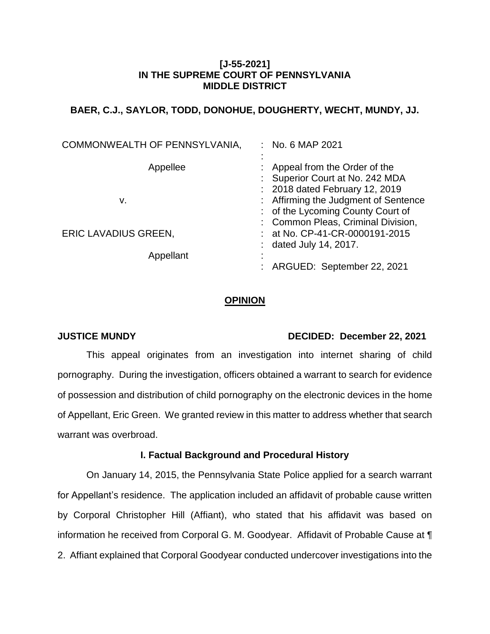## **[J-55-2021] IN THE SUPREME COURT OF PENNSYLVANIA MIDDLE DISTRICT**

## **BAER, C.J., SAYLOR, TODD, DONOHUE, DOUGHERTY, WECHT, MUNDY, JJ.**

| COMMONWEALTH OF PENNSYLVANIA, | : No. 6 MAP 2021                     |
|-------------------------------|--------------------------------------|
|                               |                                      |
| Appellee                      | : Appeal from the Order of the       |
|                               | : Superior Court at No. 242 MDA      |
|                               | : 2018 dated February 12, 2019       |
| v.                            | : Affirming the Judgment of Sentence |
|                               | : of the Lycoming County Court of    |
|                               | : Common Pleas, Criminal Division,   |
| <b>ERIC LAVADIUS GREEN,</b>   | : at No. CP-41-CR-0000191-2015       |
|                               | : dated July 14, 2017.               |
| Appellant                     |                                      |
|                               | : ARGUED: September 22, 2021         |

## **OPINION**

## **JUSTICE MUNDY DECIDED: December 22, 2021**

This appeal originates from an investigation into internet sharing of child pornography. During the investigation, officers obtained a warrant to search for evidence of possession and distribution of child pornography on the electronic devices in the home of Appellant, Eric Green. We granted review in this matter to address whether that search warrant was overbroad.

### **I. Factual Background and Procedural History**

On January 14, 2015, the Pennsylvania State Police applied for a search warrant for Appellant's residence. The application included an affidavit of probable cause written by Corporal Christopher Hill (Affiant), who stated that his affidavit was based on information he received from Corporal G. M. Goodyear. Affidavit of Probable Cause at ¶ 2. Affiant explained that Corporal Goodyear conducted undercover investigations into the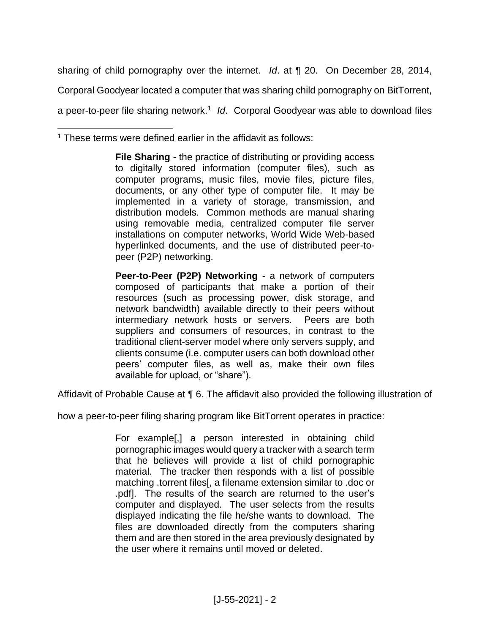sharing of child pornography over the internet. *Id*. at ¶ 20. On December 28, 2014, Corporal Goodyear located a computer that was sharing child pornography on BitTorrent, a peer-to-peer file sharing network.<sup>1</sup> Id. Corporal Goodyear was able to download files

 $\overline{a}$ <sup>1</sup> These terms were defined earlier in the affidavit as follows:

> **File Sharing** - the practice of distributing or providing access to digitally stored information (computer files), such as computer programs, music files, movie files, picture files, documents, or any other type of computer file. It may be implemented in a variety of storage, transmission, and distribution models. Common methods are manual sharing using removable media, centralized computer file server installations on computer networks, World Wide Web-based hyperlinked documents, and the use of distributed peer-topeer (P2P) networking.

> **Peer-to-Peer (P2P) Networking** - a network of computers composed of participants that make a portion of their resources (such as processing power, disk storage, and network bandwidth) available directly to their peers without intermediary network hosts or servers. Peers are both suppliers and consumers of resources, in contrast to the traditional client-server model where only servers supply, and clients consume (i.e. computer users can both download other peers' computer files, as well as, make their own files available for upload, or "share").

Affidavit of Probable Cause at ¶ 6. The affidavit also provided the following illustration of

how a peer-to-peer filing sharing program like BitTorrent operates in practice:

For example[,] a person interested in obtaining child pornographic images would query a tracker with a search term that he believes will provide a list of child pornographic material. The tracker then responds with a list of possible matching .torrent files[, a filename extension similar to .doc or .pdf]. The results of the search are returned to the user's computer and displayed. The user selects from the results displayed indicating the file he/she wants to download. The files are downloaded directly from the computers sharing them and are then stored in the area previously designated by the user where it remains until moved or deleted.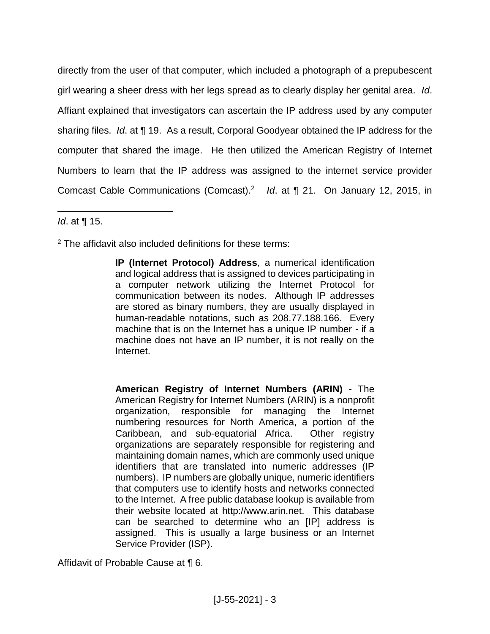directly from the user of that computer, which included a photograph of a prepubescent girl wearing a sheer dress with her legs spread as to clearly display her genital area. *Id*. Affiant explained that investigators can ascertain the IP address used by any computer sharing files. *Id*. at ¶ 19. As a result, Corporal Goodyear obtained the IP address for the computer that shared the image. He then utilized the American Registry of Internet Numbers to learn that the IP address was assigned to the internet service provider Comcast Cable Communications (Comcast).<sup>2</sup> Id. at ¶ 21. On January 12, 2015, in

 $\overline{a}$ *Id*. at ¶ 15.

<sup>2</sup> The affidavit also included definitions for these terms:

**IP (Internet Protocol) Address**, a numerical identification and logical address that is assigned to devices participating in a computer network utilizing the Internet Protocol for communication between its nodes. Although IP addresses are stored as binary numbers, they are usually displayed in human-readable notations, such as 208.77.188.166. Every machine that is on the Internet has a unique IP number - if a machine does not have an IP number, it is not really on the Internet.

**American Registry of Internet Numbers (ARIN)** - The American Registry for Internet Numbers (ARIN) is a nonprofit organization, responsible for managing the Internet numbering resources for North America, a portion of the Caribbean, and sub-equatorial Africa. Other registry organizations are separately responsible for registering and maintaining domain names, which are commonly used unique identifiers that are translated into numeric addresses (IP numbers). IP numbers are globally unique, numeric identifiers that computers use to identify hosts and networks connected to the Internet. A free public database lookup is available from their website located at http://www.arin.net. This database can be searched to determine who an [IP] address is assigned. This is usually a large business or an Internet Service Provider (ISP).

Affidavit of Probable Cause at ¶ 6.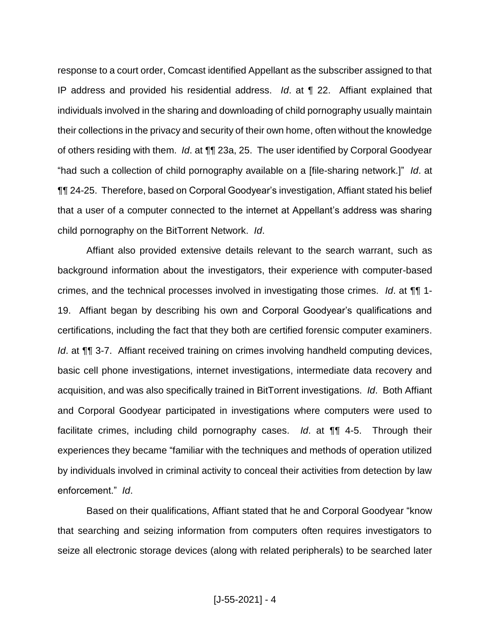response to a court order, Comcast identified Appellant as the subscriber assigned to that IP address and provided his residential address. *Id*. at ¶ 22. Affiant explained that individuals involved in the sharing and downloading of child pornography usually maintain their collections in the privacy and security of their own home, often without the knowledge of others residing with them. *Id*. at ¶¶ 23a, 25. The user identified by Corporal Goodyear "had such a collection of child pornography available on a [file-sharing network.]" *Id*. at ¶¶ 24-25. Therefore, based on Corporal Goodyear's investigation, Affiant stated his belief that a user of a computer connected to the internet at Appellant's address was sharing child pornography on the BitTorrent Network. *Id*.

Affiant also provided extensive details relevant to the search warrant, such as background information about the investigators, their experience with computer-based crimes, and the technical processes involved in investigating those crimes. *Id*. at ¶¶ 1- 19. Affiant began by describing his own and Corporal Goodyear's qualifications and certifications, including the fact that they both are certified forensic computer examiners. *Id.* at  $\P$  3-7. Affiant received training on crimes involving handheld computing devices, basic cell phone investigations, internet investigations, intermediate data recovery and acquisition, and was also specifically trained in BitTorrent investigations. *Id*. Both Affiant and Corporal Goodyear participated in investigations where computers were used to facilitate crimes, including child pornography cases. *Id*. at ¶¶ 4-5. Through their experiences they became "familiar with the techniques and methods of operation utilized by individuals involved in criminal activity to conceal their activities from detection by law enforcement." *Id*.

Based on their qualifications, Affiant stated that he and Corporal Goodyear "know that searching and seizing information from computers often requires investigators to seize all electronic storage devices (along with related peripherals) to be searched later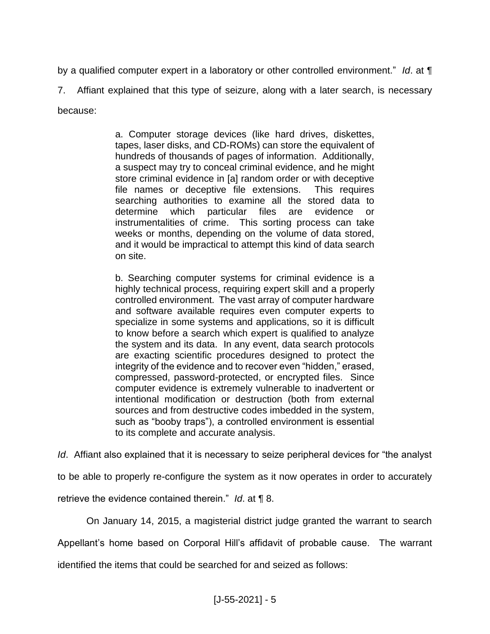by a qualified computer expert in a laboratory or other controlled environment." *Id*. at ¶ 7. Affiant explained that this type of seizure, along with a later search, is necessary because:

> a. Computer storage devices (like hard drives, diskettes, tapes, laser disks, and CD-ROMs) can store the equivalent of hundreds of thousands of pages of information. Additionally, a suspect may try to conceal criminal evidence, and he might store criminal evidence in [a] random order or with deceptive file names or deceptive file extensions. This requires searching authorities to examine all the stored data to determine which particular files are evidence or instrumentalities of crime. This sorting process can take weeks or months, depending on the volume of data stored, and it would be impractical to attempt this kind of data search on site.

> b. Searching computer systems for criminal evidence is a highly technical process, requiring expert skill and a properly controlled environment. The vast array of computer hardware and software available requires even computer experts to specialize in some systems and applications, so it is difficult to know before a search which expert is qualified to analyze the system and its data. In any event, data search protocols are exacting scientific procedures designed to protect the integrity of the evidence and to recover even "hidden," erased, compressed, password-protected, or encrypted files. Since computer evidence is extremely vulnerable to inadvertent or intentional modification or destruction (both from external sources and from destructive codes imbedded in the system, such as "booby traps"), a controlled environment is essential to its complete and accurate analysis.

*Id*. Affiant also explained that it is necessary to seize peripheral devices for "the analyst

to be able to properly re-configure the system as it now operates in order to accurately

retrieve the evidence contained therein." *Id*. at ¶ 8.

On January 14, 2015, a magisterial district judge granted the warrant to search

Appellant's home based on Corporal Hill's affidavit of probable cause. The warrant

identified the items that could be searched for and seized as follows: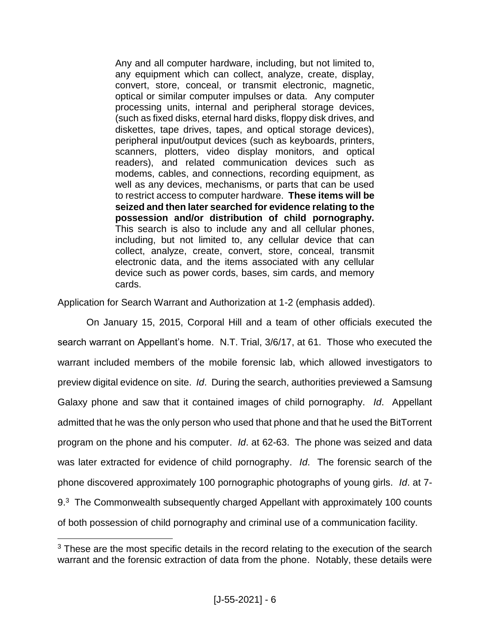Any and all computer hardware, including, but not limited to, any equipment which can collect, analyze, create, display, convert, store, conceal, or transmit electronic, magnetic, optical or similar computer impulses or data. Any computer processing units, internal and peripheral storage devices, (such as fixed disks, eternal hard disks, floppy disk drives, and diskettes, tape drives, tapes, and optical storage devices), peripheral input/output devices (such as keyboards, printers, scanners, plotters, video display monitors, and optical readers), and related communication devices such as modems, cables, and connections, recording equipment, as well as any devices, mechanisms, or parts that can be used to restrict access to computer hardware. **These items will be seized and then later searched for evidence relating to the possession and/or distribution of child pornography.** This search is also to include any and all cellular phones, including, but not limited to, any cellular device that can collect, analyze, create, convert, store, conceal, transmit electronic data, and the items associated with any cellular device such as power cords, bases, sim cards, and memory cards.

Application for Search Warrant and Authorization at 1-2 (emphasis added).

On January 15, 2015, Corporal Hill and a team of other officials executed the search warrant on Appellant's home. N.T. Trial, 3/6/17, at 61. Those who executed the warrant included members of the mobile forensic lab, which allowed investigators to preview digital evidence on site. *Id*. During the search, authorities previewed a Samsung Galaxy phone and saw that it contained images of child pornography. *Id*. Appellant admitted that he was the only person who used that phone and that he used the BitTorrent program on the phone and his computer. *Id*. at 62-63. The phone was seized and data was later extracted for evidence of child pornography. *Id*. The forensic search of the phone discovered approximately 100 pornographic photographs of young girls. *Id*. at 7- 9.<sup>3</sup> The Commonwealth subsequently charged Appellant with approximately 100 counts of both possession of child pornography and criminal use of a communication facility.

<sup>&</sup>lt;sup>3</sup> These are the most specific details in the record relating to the execution of the search warrant and the forensic extraction of data from the phone. Notably, these details were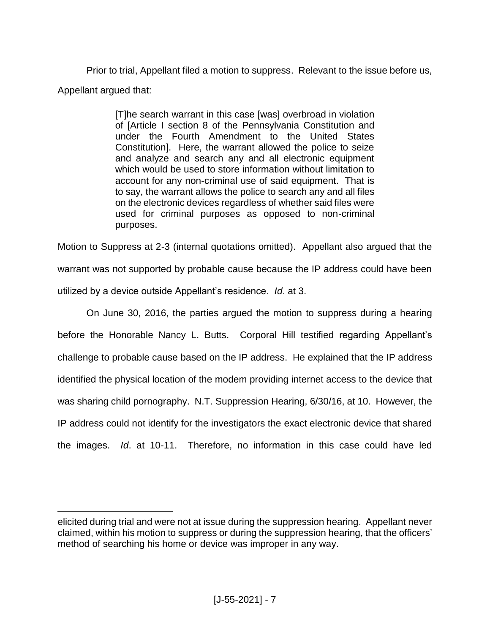Prior to trial, Appellant filed a motion to suppress. Relevant to the issue before us, Appellant argued that:

> [T]he search warrant in this case [was] overbroad in violation of [Article I section 8 of the Pennsylvania Constitution and under the Fourth Amendment to the United States Constitution]. Here, the warrant allowed the police to seize and analyze and search any and all electronic equipment which would be used to store information without limitation to account for any non-criminal use of said equipment. That is to say, the warrant allows the police to search any and all files on the electronic devices regardless of whether said files were used for criminal purposes as opposed to non-criminal purposes.

Motion to Suppress at 2-3 (internal quotations omitted). Appellant also argued that the warrant was not supported by probable cause because the IP address could have been utilized by a device outside Appellant's residence. *Id*. at 3.

On June 30, 2016, the parties argued the motion to suppress during a hearing before the Honorable Nancy L. Butts. Corporal Hill testified regarding Appellant's challenge to probable cause based on the IP address. He explained that the IP address identified the physical location of the modem providing internet access to the device that was sharing child pornography. N.T. Suppression Hearing, 6/30/16, at 10. However, the IP address could not identify for the investigators the exact electronic device that shared the images. *Id*. at 10-11. Therefore, no information in this case could have led

elicited during trial and were not at issue during the suppression hearing. Appellant never claimed, within his motion to suppress or during the suppression hearing, that the officers' method of searching his home or device was improper in any way.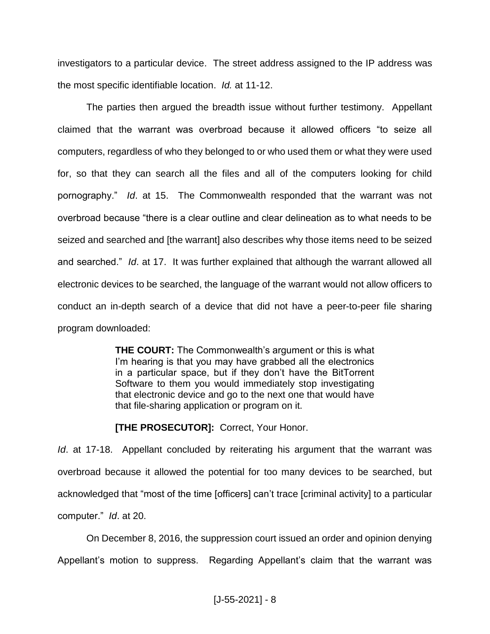investigators to a particular device. The street address assigned to the IP address was the most specific identifiable location. *Id.* at 11-12.

The parties then argued the breadth issue without further testimony. Appellant claimed that the warrant was overbroad because it allowed officers "to seize all computers, regardless of who they belonged to or who used them or what they were used for, so that they can search all the files and all of the computers looking for child pornography." *Id*. at 15. The Commonwealth responded that the warrant was not overbroad because "there is a clear outline and clear delineation as to what needs to be seized and searched and [the warrant] also describes why those items need to be seized and searched." *Id*. at 17. It was further explained that although the warrant allowed all electronic devices to be searched, the language of the warrant would not allow officers to conduct an in-depth search of a device that did not have a peer-to-peer file sharing program downloaded:

> **THE COURT:** The Commonwealth's argument or this is what I'm hearing is that you may have grabbed all the electronics in a particular space, but if they don't have the BitTorrent Software to them you would immediately stop investigating that electronic device and go to the next one that would have that file-sharing application or program on it.

**[THE PROSECUTOR]: Correct, Your Honor.** 

*Id*. at 17-18. Appellant concluded by reiterating his argument that the warrant was overbroad because it allowed the potential for too many devices to be searched, but acknowledged that "most of the time [officers] can't trace [criminal activity] to a particular computer." *Id*. at 20.

On December 8, 2016, the suppression court issued an order and opinion denying Appellant's motion to suppress. Regarding Appellant's claim that the warrant was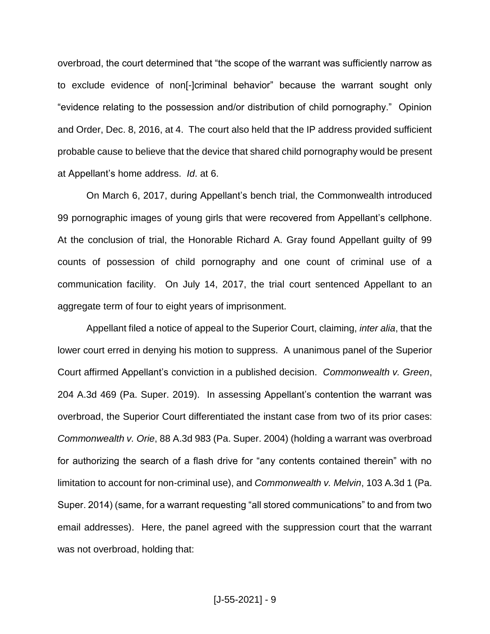overbroad, the court determined that "the scope of the warrant was sufficiently narrow as to exclude evidence of non[-]criminal behavior" because the warrant sought only "evidence relating to the possession and/or distribution of child pornography." Opinion and Order, Dec. 8, 2016, at 4. The court also held that the IP address provided sufficient probable cause to believe that the device that shared child pornography would be present at Appellant's home address. *Id*. at 6.

On March 6, 2017, during Appellant's bench trial, the Commonwealth introduced 99 pornographic images of young girls that were recovered from Appellant's cellphone. At the conclusion of trial, the Honorable Richard A. Gray found Appellant guilty of 99 counts of possession of child pornography and one count of criminal use of a communication facility. On July 14, 2017, the trial court sentenced Appellant to an aggregate term of four to eight years of imprisonment.

Appellant filed a notice of appeal to the Superior Court, claiming, *inter alia*, that the lower court erred in denying his motion to suppress. A unanimous panel of the Superior Court affirmed Appellant's conviction in a published decision. *Commonwealth v. Green*, 204 A.3d 469 (Pa. Super. 2019). In assessing Appellant's contention the warrant was overbroad, the Superior Court differentiated the instant case from two of its prior cases: *Commonwealth v. Orie*, 88 A.3d 983 (Pa. Super. 2004) (holding a warrant was overbroad for authorizing the search of a flash drive for "any contents contained therein" with no limitation to account for non-criminal use), and *Commonwealth v. Melvin*, 103 A.3d 1 (Pa. Super. 2014) (same, for a warrant requesting "all stored communications" to and from two email addresses). Here, the panel agreed with the suppression court that the warrant was not overbroad, holding that: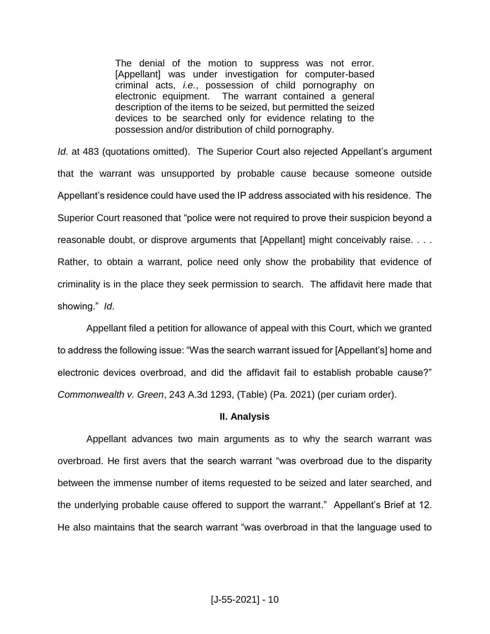The denial of the motion to suppress was not error. [Appellant] was under investigation for computer-based criminal acts, *i.e.*, possession of child pornography on electronic equipment. The warrant contained a general description of the items to be seized, but permitted the seized devices to be searched only for evidence relating to the possession and/or distribution of child pornography.

*Id*. at 483 (quotations omitted). The Superior Court also rejected Appellant's argument that the warrant was unsupported by probable cause because someone outside Appellant's residence could have used the IP address associated with his residence. The Superior Court reasoned that "police were not required to prove their suspicion beyond a reasonable doubt, or disprove arguments that [Appellant] might conceivably raise. . . . Rather, to obtain a warrant, police need only show the probability that evidence of criminality is in the place they seek permission to search. The affidavit here made that showing." *Id*.

Appellant filed a petition for allowance of appeal with this Court, which we granted to address the following issue: "Was the search warrant issued for [Appellant's] home and electronic devices overbroad, and did the affidavit fail to establish probable cause?" *Commonwealth v. Green*, 243 A.3d 1293, (Table) (Pa. 2021) (per curiam order).

### **II. Analysis**

Appellant advances two main arguments as to why the search warrant was overbroad. He first avers that the search warrant "was overbroad due to the disparity between the immense number of items requested to be seized and later searched, and the underlying probable cause offered to support the warrant." Appellant's Brief at 12. He also maintains that the search warrant "was overbroad in that the language used to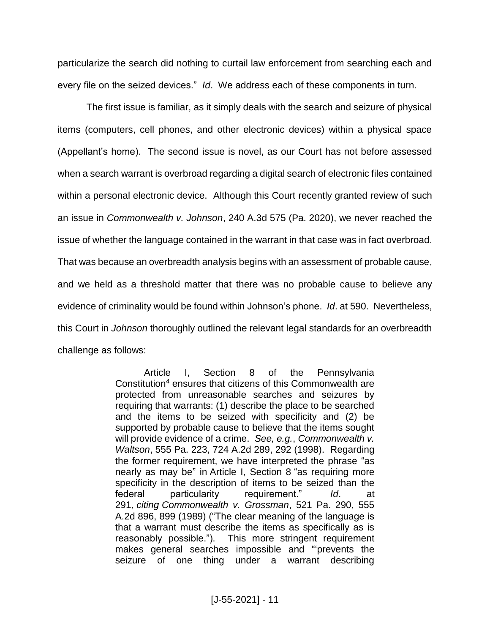particularize the search did nothing to curtail law enforcement from searching each and every file on the seized devices." *Id*. We address each of these components in turn.

The first issue is familiar, as it simply deals with the search and seizure of physical items (computers, cell phones, and other electronic devices) within a physical space (Appellant's home). The second issue is novel, as our Court has not before assessed when a search warrant is overbroad regarding a digital search of electronic files contained within a personal electronic device. Although this Court recently granted review of such an issue in *Commonwealth v. Johnson*, 240 A.3d 575 (Pa. 2020), we never reached the issue of whether the language contained in the warrant in that case was in fact overbroad. That was because an overbreadth analysis begins with an assessment of probable cause, and we held as a threshold matter that there was no probable cause to believe any evidence of criminality would be found within Johnson's phone. *Id*. at 590. Nevertheless, this Court in *Johnson* thoroughly outlined the relevant legal standards for an overbreadth challenge as follows:

> Article I, Section 8 of the Pennsylvania Constitution<sup>4</sup> ensures that citizens of this Commonwealth are protected from unreasonable searches and seizures by requiring that warrants: (1) describe the place to be searched and the items to be seized with specificity and (2) be supported by probable cause to believe that the items sought will provide evidence of a crime. *See, e.g.*, *Commonwealth v. Waltson*, 555 Pa. 223, 724 A.2d 289, 292 (1998). Regarding the former requirement, we have interpreted the phrase "as nearly as may be" in Article I, Section 8 "as requiring more specificity in the description of items to be seized than the federal particularity requirement." *Id*. at 291, *citing Commonwealth v. Grossman*, 521 Pa. 290, 555 A.2d 896, 899 (1989) ("The clear meaning of the language is that a warrant must describe the items as specifically as is reasonably possible."). This more stringent requirement makes general searches impossible and "'prevents the seizure of one thing under a warrant describing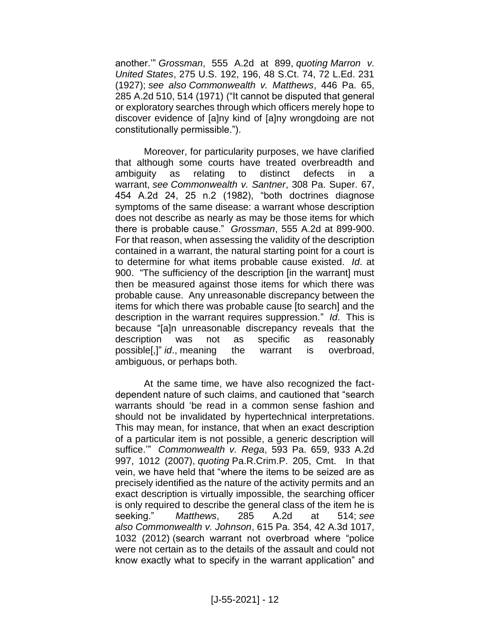another.'" *Grossman*, 555 A.2d at 899, *quoting Marron v. United States*, 275 U.S. 192, 196, 48 S.Ct. 74, 72 L.Ed. 231 (1927); *see also Commonwealth v. Matthews*, 446 Pa. 65, 285 A.2d 510, 514 (1971) ("It cannot be disputed that general or exploratory searches through which officers merely hope to discover evidence of [a]ny kind of [a]ny wrongdoing are not constitutionally permissible.").

Moreover, for particularity purposes, we have clarified that although some courts have treated overbreadth and ambiguity as relating to distinct defects in a warrant, *see Commonwealth v. Santner*, 308 Pa. Super. 67, 454 A.2d 24, 25 n.2 (1982), "both doctrines diagnose symptoms of the same disease: a warrant whose description does not describe as nearly as may be those items for which there is probable cause." *Grossman*, 555 A.2d at 899-900. For that reason, when assessing the validity of the description contained in a warrant, the natural starting point for a court is to determine for what items probable cause existed. *Id*. at 900. "The sufficiency of the description [in the warrant] must then be measured against those items for which there was probable cause. Any unreasonable discrepancy between the items for which there was probable cause [to search] and the description in the warrant requires suppression." *Id*. This is because "[a]n unreasonable discrepancy reveals that the description was not as specific as reasonably possible[,]" *id*., meaning the warrant is overbroad, ambiguous, or perhaps both.

At the same time, we have also recognized the factdependent nature of such claims, and cautioned that "search warrants should 'be read in a common sense fashion and should not be invalidated by hypertechnical interpretations. This may mean, for instance, that when an exact description of a particular item is not possible, a generic description will suffice.'" *Commonwealth v. Rega*, 593 Pa. 659, 933 A.2d 997, 1012 (2007), *quoting* Pa.R.Crim.P. 205, Cmt. In that vein, we have held that "where the items to be seized are as precisely identified as the nature of the activity permits and an exact description is virtually impossible, the searching officer is only required to describe the general class of the item he is seeking." *Matthews*, 285 A.2d at 514; *see also Commonwealth v. Johnson*, 615 Pa. 354, 42 A.3d 1017, 1032 (2012) (search warrant not overbroad where "police were not certain as to the details of the assault and could not know exactly what to specify in the warrant application" and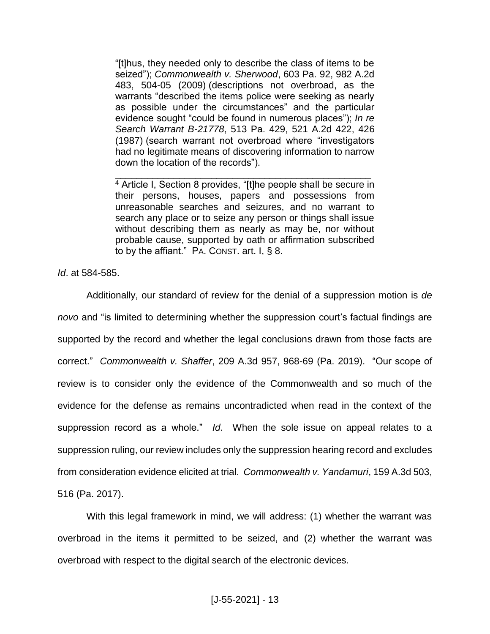"[t]hus, they needed only to describe the class of items to be seized"); *Commonwealth v. Sherwood*, 603 Pa. 92, 982 A.2d 483, 504-05 (2009) (descriptions not overbroad, as the warrants "described the items police were seeking as nearly as possible under the circumstances" and the particular evidence sought "could be found in numerous places"); *In re Search Warrant B-21778*, 513 Pa. 429, 521 A.2d 422, 426 (1987) (search warrant not overbroad where "investigators had no legitimate means of discovering information to narrow down the location of the records").

<sup>4</sup> Article I, Section 8 provides, "[t]he people shall be secure in their persons, houses, papers and possessions from unreasonable searches and seizures, and no warrant to search any place or to seize any person or things shall issue without describing them as nearly as may be, nor without probable cause, supported by oath or affirmation subscribed to by the affiant." PA. CONST. art. I, § 8.

\_\_\_\_\_\_\_\_\_\_\_\_\_\_\_\_\_\_\_\_\_\_\_\_\_\_\_\_\_\_\_\_\_\_\_\_\_\_\_\_\_\_\_\_\_\_\_\_

*Id*. at 584-585.

Additionally, our standard of review for the denial of a suppression motion is *de novo* and "is limited to determining whether the suppression court's factual findings are supported by the record and whether the legal conclusions drawn from those facts are correct." *Commonwealth v. Shaffer*, 209 A.3d 957, 968-69 (Pa. 2019). "Our scope of review is to consider only the evidence of the Commonwealth and so much of the evidence for the defense as remains uncontradicted when read in the context of the suppression record as a whole." *Id*. When the sole issue on appeal relates to a suppression ruling, our review includes only the suppression hearing record and excludes from consideration evidence elicited at trial. *Commonwealth v. Yandamuri*, 159 A.3d 503, 516 (Pa. 2017).

With this legal framework in mind, we will address: (1) whether the warrant was overbroad in the items it permitted to be seized, and (2) whether the warrant was overbroad with respect to the digital search of the electronic devices.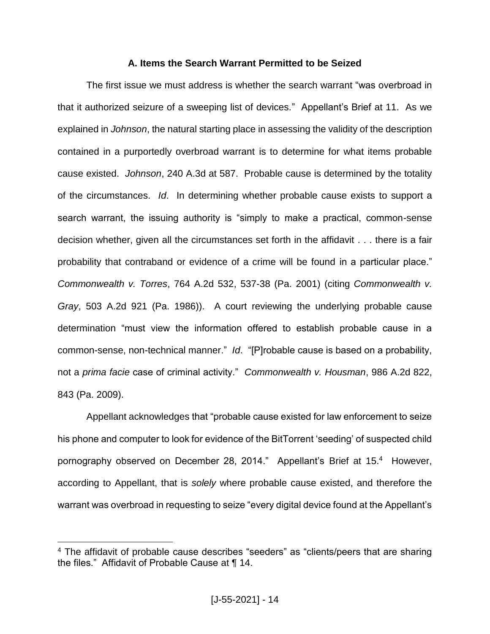## **A. Items the Search Warrant Permitted to be Seized**

The first issue we must address is whether the search warrant "was overbroad in that it authorized seizure of a sweeping list of devices." Appellant's Brief at 11. As we explained in *Johnson*, the natural starting place in assessing the validity of the description contained in a purportedly overbroad warrant is to determine for what items probable cause existed. *Johnson*, 240 A.3d at 587. Probable cause is determined by the totality of the circumstances. *Id*. In determining whether probable cause exists to support a search warrant, the issuing authority is "simply to make a practical, common-sense decision whether, given all the circumstances set forth in the affidavit . . . there is a fair probability that contraband or evidence of a crime will be found in a particular place." *Commonwealth v. Torres*, 764 A.2d 532, 537-38 (Pa. 2001) (citing *Commonwealth v. Gray*, 503 A.2d 921 (Pa. 1986)). A court reviewing the underlying probable cause determination "must view the information offered to establish probable cause in a common-sense, non-technical manner." *Id*. "[P]robable cause is based on a probability, not a *prima facie* case of criminal activity." *Commonwealth v. Housman*, 986 A.2d 822, 843 (Pa. 2009).

Appellant acknowledges that "probable cause existed for law enforcement to seize his phone and computer to look for evidence of the BitTorrent 'seeding' of suspected child pornography observed on December 28, 2014." Appellant's Brief at 15.4 However, according to Appellant, that is *solely* where probable cause existed, and therefore the warrant was overbroad in requesting to seize "every digital device found at the Appellant's

<sup>&</sup>lt;sup>4</sup> The affidavit of probable cause describes "seeders" as "clients/peers that are sharing the files." Affidavit of Probable Cause at ¶ 14.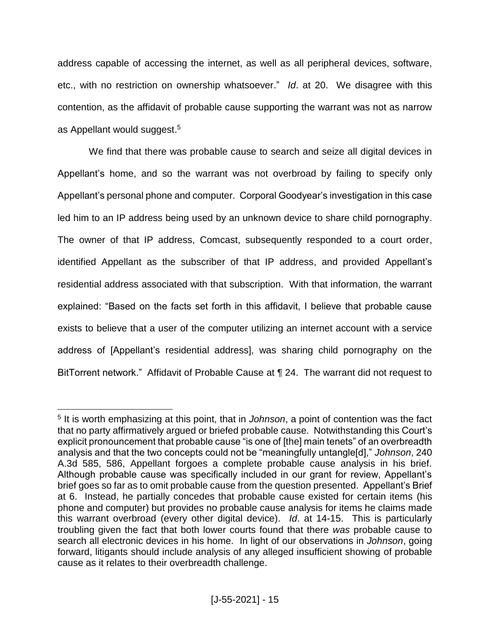address capable of accessing the internet, as well as all peripheral devices, software, etc., with no restriction on ownership whatsoever." *Id*. at 20. We disagree with this contention, as the affidavit of probable cause supporting the warrant was not as narrow as Appellant would suggest. 5

We find that there was probable cause to search and seize all digital devices in Appellant's home, and so the warrant was not overbroad by failing to specify only Appellant's personal phone and computer. Corporal Goodyear's investigation in this case led him to an IP address being used by an unknown device to share child pornography. The owner of that IP address, Comcast, subsequently responded to a court order, identified Appellant as the subscriber of that IP address, and provided Appellant's residential address associated with that subscription. With that information, the warrant explained: "Based on the facts set forth in this affidavit, I believe that probable cause exists to believe that a user of the computer utilizing an internet account with a service address of [Appellant's residential address], was sharing child pornography on the BitTorrent network." Affidavit of Probable Cause at ¶ 24. The warrant did not request to

<sup>5</sup> It is worth emphasizing at this point, that in *Johnson*, a point of contention was the fact that no party affirmatively argued or briefed probable cause. Notwithstanding this Court's explicit pronouncement that probable cause "is one of [the] main tenets" of an overbreadth analysis and that the two concepts could not be "meaningfully untangle[d]," *Johnson*, 240 A.3d 585, 586, Appellant forgoes a complete probable cause analysis in his brief. Although probable cause was specifically included in our grant for review, Appellant's brief goes so far as to omit probable cause from the question presented. Appellant's Brief at 6. Instead, he partially concedes that probable cause existed for certain items (his phone and computer) but provides no probable cause analysis for items he claims made this warrant overbroad (every other digital device). *Id*. at 14-15. This is particularly troubling given the fact that both lower courts found that there *was* probable cause to search all electronic devices in his home. In light of our observations in *Johnson*, going forward, litigants should include analysis of any alleged insufficient showing of probable cause as it relates to their overbreadth challenge.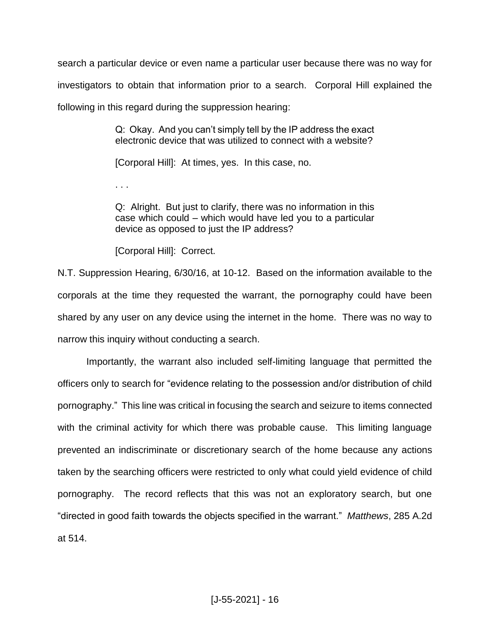search a particular device or even name a particular user because there was no way for investigators to obtain that information prior to a search. Corporal Hill explained the following in this regard during the suppression hearing:

> Q: Okay. And you can't simply tell by the IP address the exact electronic device that was utilized to connect with a website?

[Corporal Hill]: At times, yes. In this case, no.

. . .

Q: Alright. But just to clarify, there was no information in this case which could – which would have led you to a particular device as opposed to just the IP address?

[Corporal Hill]: Correct.

N.T. Suppression Hearing, 6/30/16, at 10-12. Based on the information available to the corporals at the time they requested the warrant, the pornography could have been shared by any user on any device using the internet in the home. There was no way to narrow this inquiry without conducting a search.

Importantly, the warrant also included self-limiting language that permitted the officers only to search for "evidence relating to the possession and/or distribution of child pornography." This line was critical in focusing the search and seizure to items connected with the criminal activity for which there was probable cause. This limiting language prevented an indiscriminate or discretionary search of the home because any actions taken by the searching officers were restricted to only what could yield evidence of child pornography. The record reflects that this was not an exploratory search, but one "directed in good faith towards the objects specified in the warrant." *Matthews*, 285 A.2d at 514.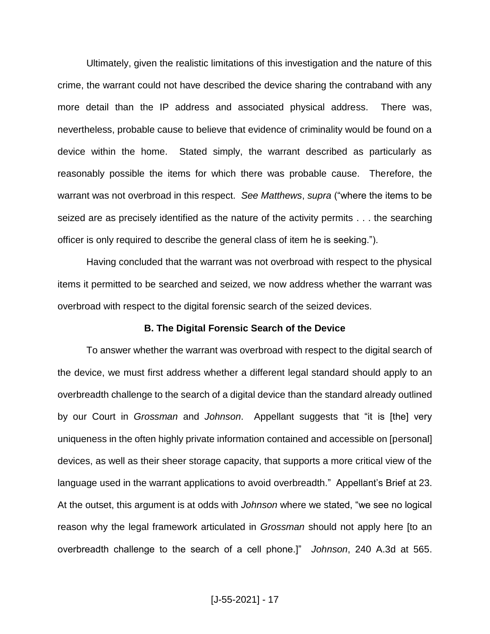Ultimately, given the realistic limitations of this investigation and the nature of this crime, the warrant could not have described the device sharing the contraband with any more detail than the IP address and associated physical address. There was, nevertheless, probable cause to believe that evidence of criminality would be found on a device within the home. Stated simply, the warrant described as particularly as reasonably possible the items for which there was probable cause. Therefore, the warrant was not overbroad in this respect. *See Matthews*, *supra* ("where the items to be seized are as precisely identified as the nature of the activity permits . . . the searching officer is only required to describe the general class of item he is seeking.").

Having concluded that the warrant was not overbroad with respect to the physical items it permitted to be searched and seized, we now address whether the warrant was overbroad with respect to the digital forensic search of the seized devices.

#### **B. The Digital Forensic Search of the Device**

To answer whether the warrant was overbroad with respect to the digital search of the device, we must first address whether a different legal standard should apply to an overbreadth challenge to the search of a digital device than the standard already outlined by our Court in *Grossman* and *Johnson*. Appellant suggests that "it is [the] very uniqueness in the often highly private information contained and accessible on [personal] devices, as well as their sheer storage capacity, that supports a more critical view of the language used in the warrant applications to avoid overbreadth." Appellant's Brief at 23. At the outset, this argument is at odds with *Johnson* where we stated, "we see no logical reason why the legal framework articulated in *Grossman* should not apply here [to an overbreadth challenge to the search of a cell phone.]" *Johnson*, 240 A.3d at 565.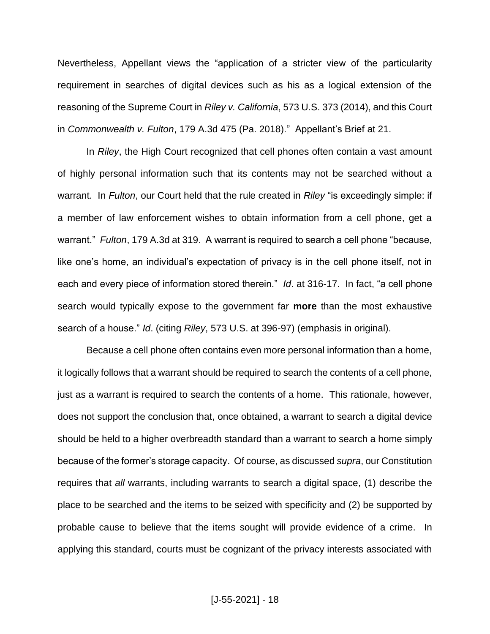Nevertheless, Appellant views the "application of a stricter view of the particularity requirement in searches of digital devices such as his as a logical extension of the reasoning of the Supreme Court in *Riley v. California*, 573 U.S. 373 (2014), and this Court in *Commonwealth v. Fulton*, 179 A.3d 475 (Pa. 2018)." Appellant's Brief at 21.

In *Riley*, the High Court recognized that cell phones often contain a vast amount of highly personal information such that its contents may not be searched without a warrant. In *Fulton*, our Court held that the rule created in *Riley* "is exceedingly simple: if a member of law enforcement wishes to obtain information from a cell phone, get a warrant." *Fulton*, 179 A.3d at 319. A warrant is required to search a cell phone "because, like one's home, an individual's expectation of privacy is in the cell phone itself, not in each and every piece of information stored therein." *Id*. at 316-17. In fact, "a cell phone search would typically expose to the government far **more** than the most exhaustive search of a house." *Id*. (citing *Riley*, 573 U.S. at 396-97) (emphasis in original).

Because a cell phone often contains even more personal information than a home, it logically follows that a warrant should be required to search the contents of a cell phone, just as a warrant is required to search the contents of a home. This rationale, however, does not support the conclusion that, once obtained, a warrant to search a digital device should be held to a higher overbreadth standard than a warrant to search a home simply because of the former's storage capacity. Of course, as discussed *supra*, our Constitution requires that *all* warrants, including warrants to search a digital space, (1) describe the place to be searched and the items to be seized with specificity and (2) be supported by probable cause to believe that the items sought will provide evidence of a crime. In applying this standard, courts must be cognizant of the privacy interests associated with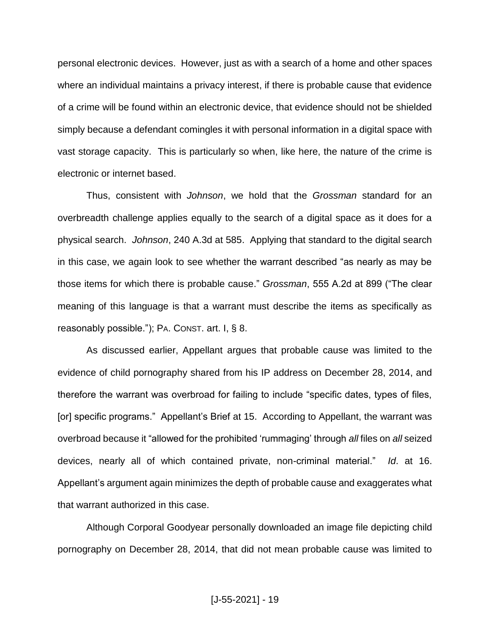personal electronic devices. However, just as with a search of a home and other spaces where an individual maintains a privacy interest, if there is probable cause that evidence of a crime will be found within an electronic device, that evidence should not be shielded simply because a defendant comingles it with personal information in a digital space with vast storage capacity. This is particularly so when, like here, the nature of the crime is electronic or internet based.

Thus, consistent with *Johnson*, we hold that the *Grossman* standard for an overbreadth challenge applies equally to the search of a digital space as it does for a physical search. *Johnson*, 240 A.3d at 585. Applying that standard to the digital search in this case, we again look to see whether the warrant described "as nearly as may be those items for which there is probable cause." *Grossman*, 555 A.2d at 899 ("The clear meaning of this language is that a warrant must describe the items as specifically as reasonably possible."); PA. CONST. art. I, § 8.

As discussed earlier, Appellant argues that probable cause was limited to the evidence of child pornography shared from his IP address on December 28, 2014, and therefore the warrant was overbroad for failing to include "specific dates, types of files, [or] specific programs." Appellant's Brief at 15. According to Appellant, the warrant was overbroad because it "allowed for the prohibited 'rummaging' through *all* files on *all* seized devices, nearly all of which contained private, non-criminal material." *Id*. at 16. Appellant's argument again minimizes the depth of probable cause and exaggerates what that warrant authorized in this case.

Although Corporal Goodyear personally downloaded an image file depicting child pornography on December 28, 2014, that did not mean probable cause was limited to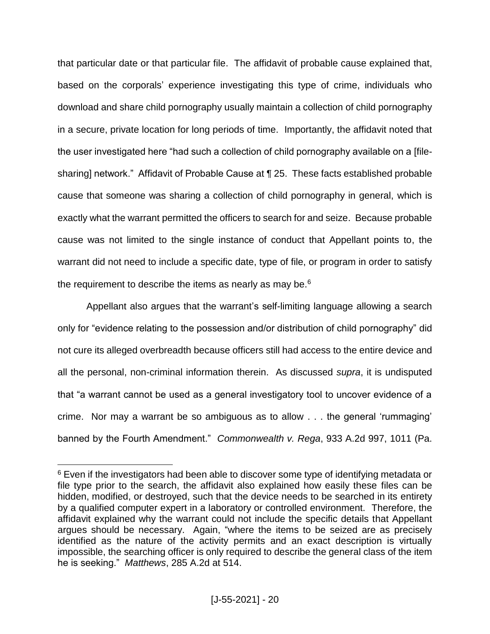that particular date or that particular file. The affidavit of probable cause explained that, based on the corporals' experience investigating this type of crime, individuals who download and share child pornography usually maintain a collection of child pornography in a secure, private location for long periods of time. Importantly, the affidavit noted that the user investigated here "had such a collection of child pornography available on a [filesharing] network." Affidavit of Probable Cause at ¶ 25. These facts established probable cause that someone was sharing a collection of child pornography in general, which is exactly what the warrant permitted the officers to search for and seize. Because probable cause was not limited to the single instance of conduct that Appellant points to, the warrant did not need to include a specific date, type of file, or program in order to satisfy the requirement to describe the items as nearly as may be.<sup>6</sup>

Appellant also argues that the warrant's self-limiting language allowing a search only for "evidence relating to the possession and/or distribution of child pornography" did not cure its alleged overbreadth because officers still had access to the entire device and all the personal, non-criminal information therein. As discussed *supra*, it is undisputed that "a warrant cannot be used as a general investigatory tool to uncover evidence of a crime. Nor may a warrant be so ambiguous as to allow . . . the general 'rummaging' banned by the Fourth Amendment." *Commonwealth v. Rega*, 933 A.2d 997, 1011 (Pa.

<sup>&</sup>lt;sup>6</sup> Even if the investigators had been able to discover some type of identifying metadata or file type prior to the search, the affidavit also explained how easily these files can be hidden, modified, or destroyed, such that the device needs to be searched in its entirety by a qualified computer expert in a laboratory or controlled environment. Therefore, the affidavit explained why the warrant could not include the specific details that Appellant argues should be necessary. Again, "where the items to be seized are as precisely identified as the nature of the activity permits and an exact description is virtually impossible, the searching officer is only required to describe the general class of the item he is seeking." *Matthews*, 285 A.2d at 514.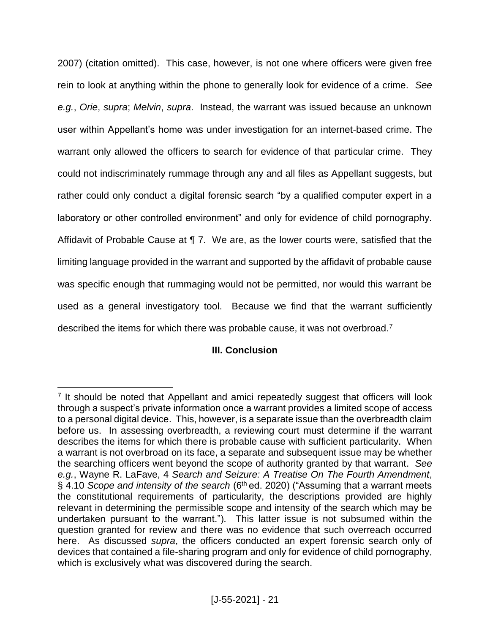2007) (citation omitted). This case, however, is not one where officers were given free rein to look at anything within the phone to generally look for evidence of a crime. *See e.g.*, *Orie*, *supra*; *Melvin*, *supra*. Instead, the warrant was issued because an unknown user within Appellant's home was under investigation for an internet-based crime. The warrant only allowed the officers to search for evidence of that particular crime. They could not indiscriminately rummage through any and all files as Appellant suggests, but rather could only conduct a digital forensic search "by a qualified computer expert in a laboratory or other controlled environment" and only for evidence of child pornography. Affidavit of Probable Cause at ¶ 7. We are, as the lower courts were, satisfied that the limiting language provided in the warrant and supported by the affidavit of probable cause was specific enough that rummaging would not be permitted, nor would this warrant be used as a general investigatory tool. Because we find that the warrant sufficiently described the items for which there was probable cause, it was not overbroad.<sup>7</sup>

# **III. Conclusion**

<sup>&</sup>lt;sup>7</sup> It should be noted that Appellant and amici repeatedly suggest that officers will look through a suspect's private information once a warrant provides a limited scope of access to a personal digital device. This, however, is a separate issue than the overbreadth claim before us. In assessing overbreadth, a reviewing court must determine if the warrant describes the items for which there is probable cause with sufficient particularity. When a warrant is not overbroad on its face, a separate and subsequent issue may be whether the searching officers went beyond the scope of authority granted by that warrant. *See e.g.*, Wayne R. LaFave, 4 *Search and Seizure: A Treatise On The Fourth Amendment*, § 4.10 *Scope and intensity of the search* (6th ed. 2020) ("Assuming that a warrant meets the constitutional requirements of particularity, the descriptions provided are highly relevant in determining the permissible scope and intensity of the search which may be undertaken pursuant to the warrant."). This latter issue is not subsumed within the question granted for review and there was no evidence that such overreach occurred here. As discussed *supra*, the officers conducted an expert forensic search only of devices that contained a file-sharing program and only for evidence of child pornography, which is exclusively what was discovered during the search.